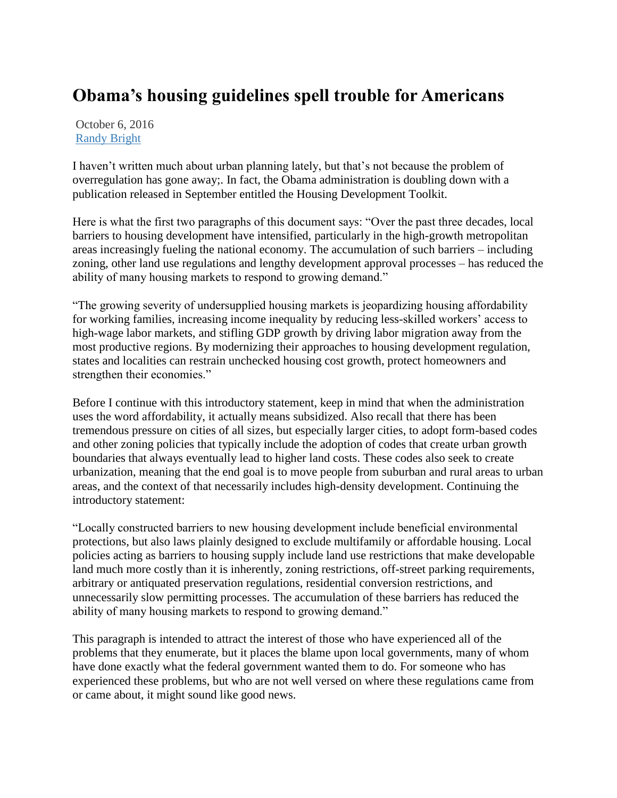## **Obama's housing guidelines spell trouble for Americans**

October 6, 2016 [Randy Bright](http://tulsabeacon.com/author/randy-bright/)

I haven't written much about urban planning lately, but that's not because the problem of overregulation has gone away;. In fact, the Obama administration is doubling down with a publication released in September entitled the Housing Development Toolkit.

Here is what the first two paragraphs of this document says: "Over the past three decades, local barriers to housing development have intensified, particularly in the high-growth metropolitan areas increasingly fueling the national economy. The accumulation of such barriers – including zoning, other land use regulations and lengthy development approval processes – has reduced the ability of many housing markets to respond to growing demand."

"The growing severity of undersupplied housing markets is jeopardizing housing affordability for working families, increasing income inequality by reducing less-skilled workers' access to high-wage labor markets, and stifling GDP growth by driving labor migration away from the most productive regions. By modernizing their approaches to housing development regulation, states and localities can restrain unchecked housing cost growth, protect homeowners and strengthen their economies."

Before I continue with this introductory statement, keep in mind that when the administration uses the word affordability, it actually means subsidized. Also recall that there has been tremendous pressure on cities of all sizes, but especially larger cities, to adopt form-based codes and other zoning policies that typically include the adoption of codes that create urban growth boundaries that always eventually lead to higher land costs. These codes also seek to create urbanization, meaning that the end goal is to move people from suburban and rural areas to urban areas, and the context of that necessarily includes high-density development. Continuing the introductory statement:

"Locally constructed barriers to new housing development include beneficial environmental protections, but also laws plainly designed to exclude multifamily or affordable housing. Local policies acting as barriers to housing supply include land use restrictions that make developable land much more costly than it is inherently, zoning restrictions, off-street parking requirements, arbitrary or antiquated preservation regulations, residential conversion restrictions, and unnecessarily slow permitting processes. The accumulation of these barriers has reduced the ability of many housing markets to respond to growing demand."

This paragraph is intended to attract the interest of those who have experienced all of the problems that they enumerate, but it places the blame upon local governments, many of whom have done exactly what the federal government wanted them to do. For someone who has experienced these problems, but who are not well versed on where these regulations came from or came about, it might sound like good news.